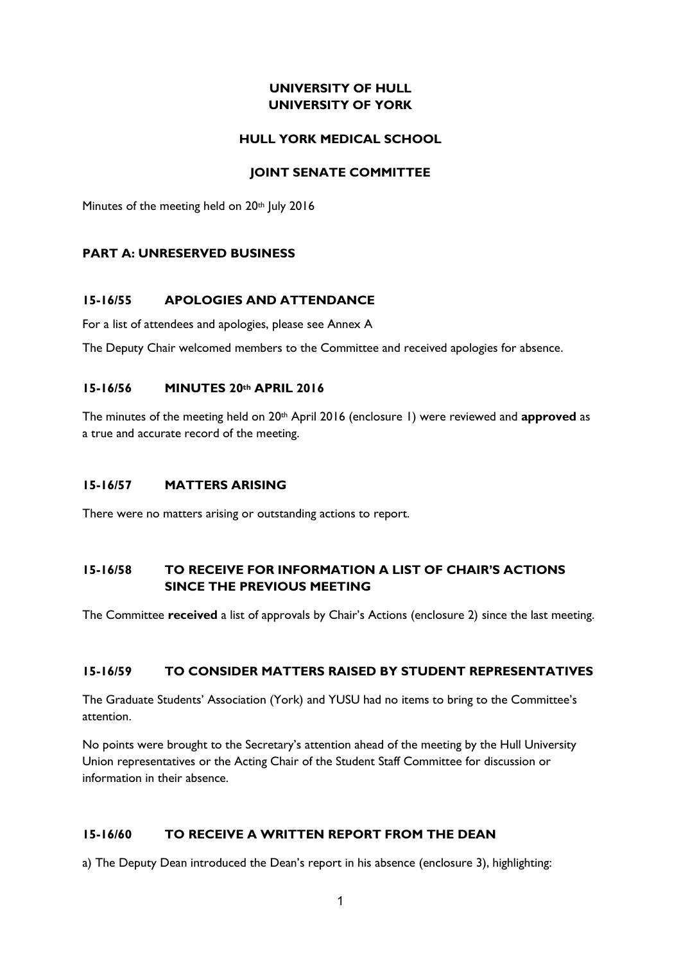## **UNIVERSITY OF HULL UNIVERSITY OF YORK**

#### **HULL YORK MEDICAL SCHOOL**

### **JOINT SENATE COMMITTEE**

Minutes of the meeting held on 20th July 2016

#### **PART A: UNRESERVED BUSINESS**

#### **15-16/55 APOLOGIES AND ATTENDANCE**

For a list of attendees and apologies, please see Annex A

The Deputy Chair welcomed members to the Committee and received apologies for absence.

#### **15-16/56 MINUTES 20th APRIL 2016**

The minutes of the meeting held on 20<sup>th</sup> April 2016 (enclosure 1) were reviewed and **approved** as a true and accurate record of the meeting.

### **15-16/57 MATTERS ARISING**

There were no matters arising or outstanding actions to report.

## **15-16/58 TO RECEIVE FOR INFORMATION A LIST OF CHAIR'S ACTIONS SINCE THE PREVIOUS MEETING**

The Committee **received** a list of approvals by Chair's Actions (enclosure 2) since the last meeting.

#### **15-16/59 TO CONSIDER MATTERS RAISED BY STUDENT REPRESENTATIVES**

The Graduate Students' Association (York) and YUSU had no items to bring to the Committee's attention.

No points were brought to the Secretary's attention ahead of the meeting by the Hull University Union representatives or the Acting Chair of the Student Staff Committee for discussion or information in their absence.

## **15-16/60 TO RECEIVE A WRITTEN REPORT FROM THE DEAN**

a) The Deputy Dean introduced the Dean's report in his absence (enclosure 3), highlighting: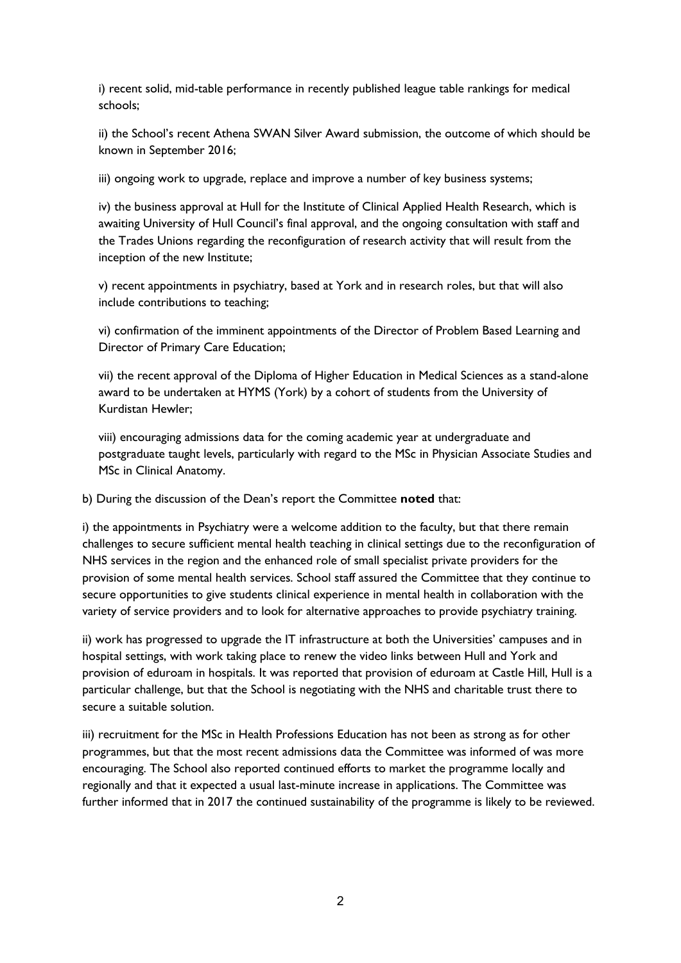i) recent solid, mid-table performance in recently published league table rankings for medical schools;

ii) the School's recent Athena SWAN Silver Award submission, the outcome of which should be known in September 2016;

iii) ongoing work to upgrade, replace and improve a number of key business systems;

iv) the business approval at Hull for the Institute of Clinical Applied Health Research, which is awaiting University of Hull Council's final approval, and the ongoing consultation with staff and the Trades Unions regarding the reconfiguration of research activity that will result from the inception of the new Institute;

v) recent appointments in psychiatry, based at York and in research roles, but that will also include contributions to teaching;

vi) confirmation of the imminent appointments of the Director of Problem Based Learning and Director of Primary Care Education;

vii) the recent approval of the Diploma of Higher Education in Medical Sciences as a stand-alone award to be undertaken at HYMS (York) by a cohort of students from the University of Kurdistan Hewler;

viii) encouraging admissions data for the coming academic year at undergraduate and postgraduate taught levels, particularly with regard to the MSc in Physician Associate Studies and MSc in Clinical Anatomy.

b) During the discussion of the Dean's report the Committee **noted** that:

i) the appointments in Psychiatry were a welcome addition to the faculty, but that there remain challenges to secure sufficient mental health teaching in clinical settings due to the reconfiguration of NHS services in the region and the enhanced role of small specialist private providers for the provision of some mental health services. School staff assured the Committee that they continue to secure opportunities to give students clinical experience in mental health in collaboration with the variety of service providers and to look for alternative approaches to provide psychiatry training.

ii) work has progressed to upgrade the IT infrastructure at both the Universities' campuses and in hospital settings, with work taking place to renew the video links between Hull and York and provision of eduroam in hospitals. It was reported that provision of eduroam at Castle Hill, Hull is a particular challenge, but that the School is negotiating with the NHS and charitable trust there to secure a suitable solution.

iii) recruitment for the MSc in Health Professions Education has not been as strong as for other programmes, but that the most recent admissions data the Committee was informed of was more encouraging. The School also reported continued efforts to market the programme locally and regionally and that it expected a usual last-minute increase in applications. The Committee was further informed that in 2017 the continued sustainability of the programme is likely to be reviewed.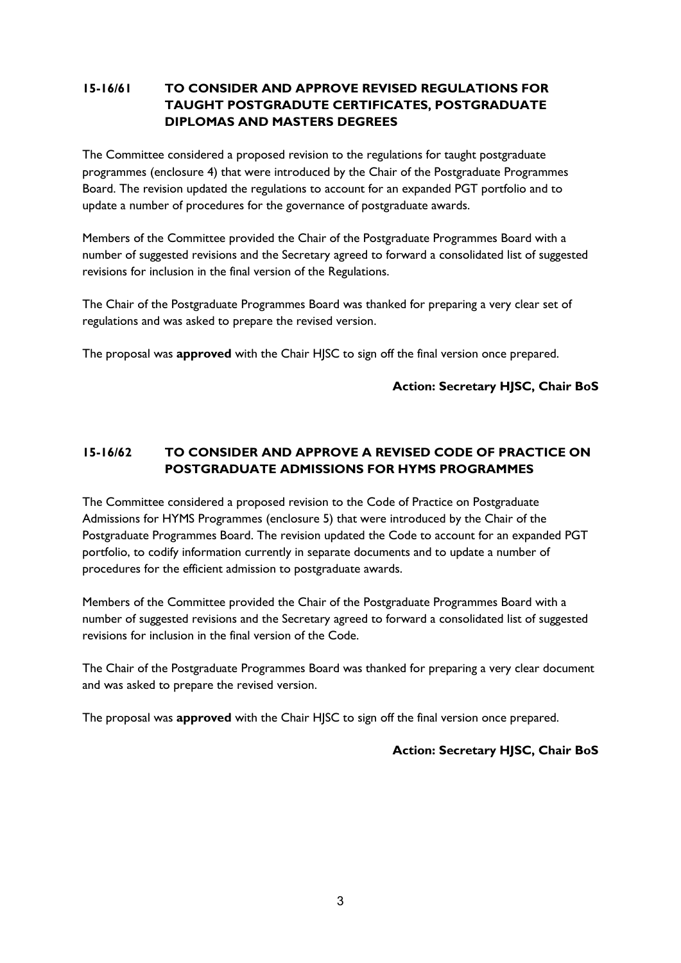# **15-16/61 TO CONSIDER AND APPROVE REVISED REGULATIONS FOR TAUGHT POSTGRADUTE CERTIFICATES, POSTGRADUATE DIPLOMAS AND MASTERS DEGREES**

The Committee considered a proposed revision to the regulations for taught postgraduate programmes (enclosure 4) that were introduced by the Chair of the Postgraduate Programmes Board. The revision updated the regulations to account for an expanded PGT portfolio and to update a number of procedures for the governance of postgraduate awards.

Members of the Committee provided the Chair of the Postgraduate Programmes Board with a number of suggested revisions and the Secretary agreed to forward a consolidated list of suggested revisions for inclusion in the final version of the Regulations.

The Chair of the Postgraduate Programmes Board was thanked for preparing a very clear set of regulations and was asked to prepare the revised version.

The proposal was **approved** with the Chair HJSC to sign off the final version once prepared.

#### **Action: Secretary HJSC, Chair BoS**

# **15-16/62 TO CONSIDER AND APPROVE A REVISED CODE OF PRACTICE ON POSTGRADUATE ADMISSIONS FOR HYMS PROGRAMMES**

The Committee considered a proposed revision to the Code of Practice on Postgraduate Admissions for HYMS Programmes (enclosure 5) that were introduced by the Chair of the Postgraduate Programmes Board. The revision updated the Code to account for an expanded PGT portfolio, to codify information currently in separate documents and to update a number of procedures for the efficient admission to postgraduate awards.

Members of the Committee provided the Chair of the Postgraduate Programmes Board with a number of suggested revisions and the Secretary agreed to forward a consolidated list of suggested revisions for inclusion in the final version of the Code.

The Chair of the Postgraduate Programmes Board was thanked for preparing a very clear document and was asked to prepare the revised version.

The proposal was **approved** with the Chair HJSC to sign off the final version once prepared.

#### **Action: Secretary HJSC, Chair BoS**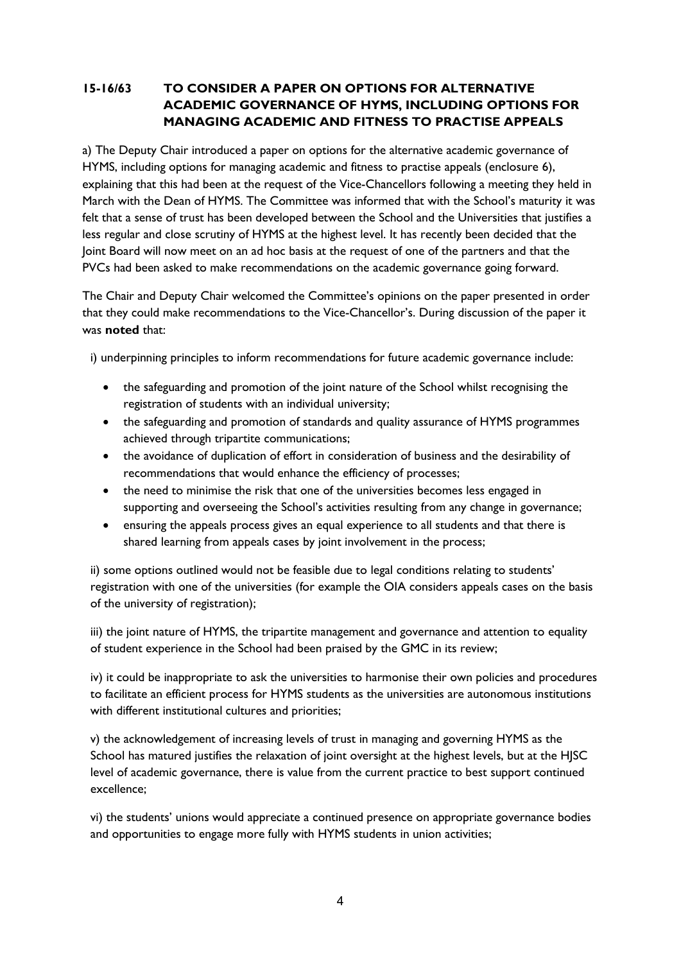# **15-16/63 TO CONSIDER A PAPER ON OPTIONS FOR ALTERNATIVE ACADEMIC GOVERNANCE OF HYMS, INCLUDING OPTIONS FOR MANAGING ACADEMIC AND FITNESS TO PRACTISE APPEALS**

a) The Deputy Chair introduced a paper on options for the alternative academic governance of HYMS, including options for managing academic and fitness to practise appeals (enclosure 6), explaining that this had been at the request of the Vice-Chancellors following a meeting they held in March with the Dean of HYMS. The Committee was informed that with the School's maturity it was felt that a sense of trust has been developed between the School and the Universities that justifies a less regular and close scrutiny of HYMS at the highest level. It has recently been decided that the Joint Board will now meet on an ad hoc basis at the request of one of the partners and that the PVCs had been asked to make recommendations on the academic governance going forward.

The Chair and Deputy Chair welcomed the Committee's opinions on the paper presented in order that they could make recommendations to the Vice-Chancellor's. During discussion of the paper it was **noted** that:

i) underpinning principles to inform recommendations for future academic governance include:

- the safeguarding and promotion of the joint nature of the School whilst recognising the registration of students with an individual university;
- the safeguarding and promotion of standards and quality assurance of HYMS programmes achieved through tripartite communications;
- the avoidance of duplication of effort in consideration of business and the desirability of recommendations that would enhance the efficiency of processes;
- the need to minimise the risk that one of the universities becomes less engaged in supporting and overseeing the School's activities resulting from any change in governance;
- ensuring the appeals process gives an equal experience to all students and that there is shared learning from appeals cases by joint involvement in the process;

ii) some options outlined would not be feasible due to legal conditions relating to students' registration with one of the universities (for example the OIA considers appeals cases on the basis of the university of registration);

iii) the joint nature of HYMS, the tripartite management and governance and attention to equality of student experience in the School had been praised by the GMC in its review;

iv) it could be inappropriate to ask the universities to harmonise their own policies and procedures to facilitate an efficient process for HYMS students as the universities are autonomous institutions with different institutional cultures and priorities;

v) the acknowledgement of increasing levels of trust in managing and governing HYMS as the School has matured justifies the relaxation of joint oversight at the highest levels, but at the HJSC level of academic governance, there is value from the current practice to best support continued excellence;

vi) the students' unions would appreciate a continued presence on appropriate governance bodies and opportunities to engage more fully with HYMS students in union activities;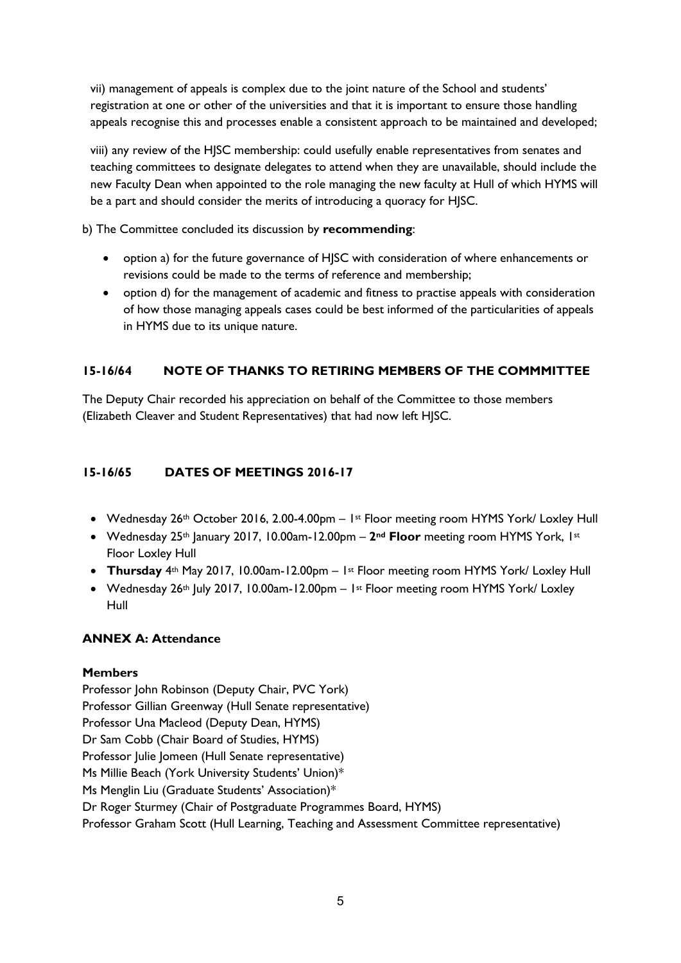vii) management of appeals is complex due to the joint nature of the School and students' registration at one or other of the universities and that it is important to ensure those handling appeals recognise this and processes enable a consistent approach to be maintained and developed;

viii) any review of the HJSC membership: could usefully enable representatives from senates and teaching committees to designate delegates to attend when they are unavailable, should include the new Faculty Dean when appointed to the role managing the new faculty at Hull of which HYMS will be a part and should consider the merits of introducing a quoracy for HJSC.

b) The Committee concluded its discussion by **recommending**:

- option a) for the future governance of HJSC with consideration of where enhancements or revisions could be made to the terms of reference and membership;
- option d) for the management of academic and fitness to practise appeals with consideration of how those managing appeals cases could be best informed of the particularities of appeals in HYMS due to its unique nature.

# **15-16/64 NOTE OF THANKS TO RETIRING MEMBERS OF THE COMMMITTEE**

The Deputy Chair recorded his appreciation on behalf of the Committee to those members (Elizabeth Cleaver and Student Representatives) that had now left HJSC.

## **15-16/65 DATES OF MEETINGS 2016-17**

- Wednesday 26th October 2016, 2.00-4.00pm 1st Floor meeting room HYMS York/ Loxley Hull
- Wednesday 25th January 2017, 10.00am-12.00pm **2nd Floor** meeting room HYMS York, 1st Floor Loxley Hull
- **Thursday** 4th May 2017, 10.00am-12.00pm 1st Floor meeting room HYMS York/ Loxley Hull
- Wednesday 26<sup>th</sup> July 2017, 10.00am-12.00pm 1<sup>st</sup> Floor meeting room HYMS York/ Loxley Hull

## **ANNEX A: Attendance**

## **Members**

Professor John Robinson (Deputy Chair, PVC York) Professor Gillian Greenway (Hull Senate representative) Professor Una Macleod (Deputy Dean, HYMS) Dr Sam Cobb (Chair Board of Studies, HYMS) Professor Julie Jomeen (Hull Senate representative) Ms Millie Beach (York University Students' Union)\* Ms Menglin Liu (Graduate Students' Association)\* Dr Roger Sturmey (Chair of Postgraduate Programmes Board, HYMS) Professor Graham Scott (Hull Learning, Teaching and Assessment Committee representative)